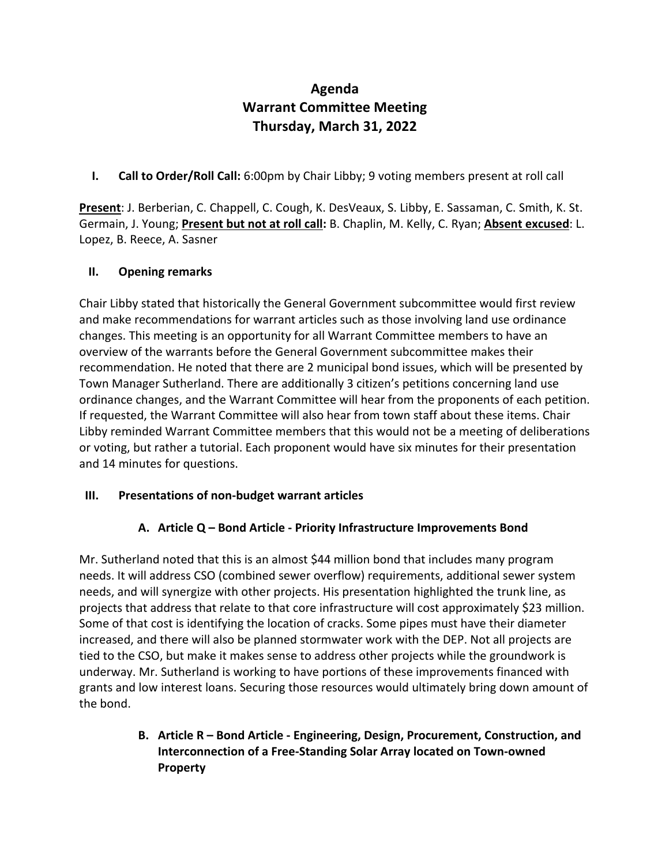# **Agenda Warrant Committee Meeting Thursday, March 31, 2022**

**I. Call to Order/Roll Call:** 6:00pm by Chair Libby; 9 voting members present at roll call

**Present**: J. Berberian, C. Chappell, C. Cough, K. DesVeaux, S. Libby, E. Sassaman, C. Smith, K. St. Germain, J. Young; **Present but not at roll call:** B. Chaplin, M. Kelly, C. Ryan; **Absent excused**: L. Lopez, B. Reece, A. Sasner

### **II. Opening remarks**

Chair Libby stated that historically the General Government subcommittee would first review and make recommendations for warrant articles such as those involving land use ordinance changes. This meeting is an opportunity for all Warrant Committee members to have an overview of the warrants before the General Government subcommittee makes their recommendation. He noted that there are 2 municipal bond issues, which will be presented by Town Manager Sutherland. There are additionally 3 citizen's petitions concerning land use ordinance changes, and the Warrant Committee will hear from the proponents of each petition. If requested, the Warrant Committee will also hear from town staff about these items. Chair Libby reminded Warrant Committee members that this would not be a meeting of deliberations or voting, but rather a tutorial. Each proponent would have six minutes for their presentation and 14 minutes for questions.

### **III. Presentations of non-budget warrant articles**

## **A. Article Q – Bond Article - Priority Infrastructure Improvements Bond**

Mr. Sutherland noted that this is an almost \$44 million bond that includes many program needs. It will address CSO (combined sewer overflow) requirements, additional sewer system needs, and will synergize with other projects. His presentation highlighted the trunk line, as projects that address that relate to that core infrastructure will cost approximately \$23 million. Some of that cost is identifying the location of cracks. Some pipes must have their diameter increased, and there will also be planned stormwater work with the DEP. Not all projects are tied to the CSO, but make it makes sense to address other projects while the groundwork is underway. Mr. Sutherland is working to have portions of these improvements financed with grants and low interest loans. Securing those resources would ultimately bring down amount of the bond.

## **B. Article R – Bond Article - Engineering, Design, Procurement, Construction, and Interconnection of a Free-Standing Solar Array located on Town-owned Property**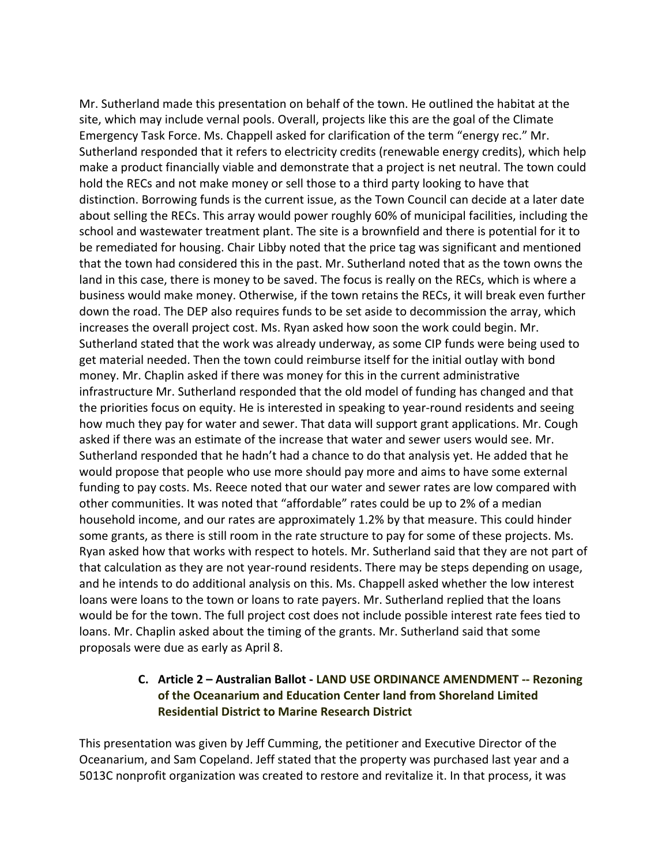Mr. Sutherland made this presentation on behalf of the town. He outlined the habitat at the site, which may include vernal pools. Overall, projects like this are the goal of the Climate Emergency Task Force. Ms. Chappell asked for clarification of the term "energy rec." Mr. Sutherland responded that it refers to electricity credits (renewable energy credits), which help make a product financially viable and demonstrate that a project is net neutral. The town could hold the RECs and not make money or sell those to a third party looking to have that distinction. Borrowing funds is the current issue, as the Town Council can decide at a later date about selling the RECs. This array would power roughly 60% of municipal facilities, including the school and wastewater treatment plant. The site is a brownfield and there is potential for it to be remediated for housing. Chair Libby noted that the price tag was significant and mentioned that the town had considered this in the past. Mr. Sutherland noted that as the town owns the land in this case, there is money to be saved. The focus is really on the RECs, which is where a business would make money. Otherwise, if the town retains the RECs, it will break even further down the road. The DEP also requires funds to be set aside to decommission the array, which increases the overall project cost. Ms. Ryan asked how soon the work could begin. Mr. Sutherland stated that the work was already underway, as some CIP funds were being used to get material needed. Then the town could reimburse itself for the initial outlay with bond money. Mr. Chaplin asked if there was money for this in the current administrative infrastructure Mr. Sutherland responded that the old model of funding has changed and that the priorities focus on equity. He is interested in speaking to year-round residents and seeing how much they pay for water and sewer. That data will support grant applications. Mr. Cough asked if there was an estimate of the increase that water and sewer users would see. Mr. Sutherland responded that he hadn't had a chance to do that analysis yet. He added that he would propose that people who use more should pay more and aims to have some external funding to pay costs. Ms. Reece noted that our water and sewer rates are low compared with other communities. It was noted that "affordable" rates could be up to 2% of a median household income, and our rates are approximately 1.2% by that measure. This could hinder some grants, as there is still room in the rate structure to pay for some of these projects. Ms. Ryan asked how that works with respect to hotels. Mr. Sutherland said that they are not part of that calculation as they are not year-round residents. There may be steps depending on usage, and he intends to do additional analysis on this. Ms. Chappell asked whether the low interest loans were loans to the town or loans to rate payers. Mr. Sutherland replied that the loans would be for the town. The full project cost does not include possible interest rate fees tied to loans. Mr. Chaplin asked about the timing of the grants. Mr. Sutherland said that some proposals were due as early as April 8.

### **C. Article 2 – Australian Ballot - LAND USE ORDINANCE AMENDMENT -- Rezoning of the Oceanarium and Education Center land from Shoreland Limited Residential District to Marine Research District**

This presentation was given by Jeff Cumming, the petitioner and Executive Director of the Oceanarium, and Sam Copeland. Jeff stated that the property was purchased last year and a 5013C nonprofit organization was created to restore and revitalize it. In that process, it was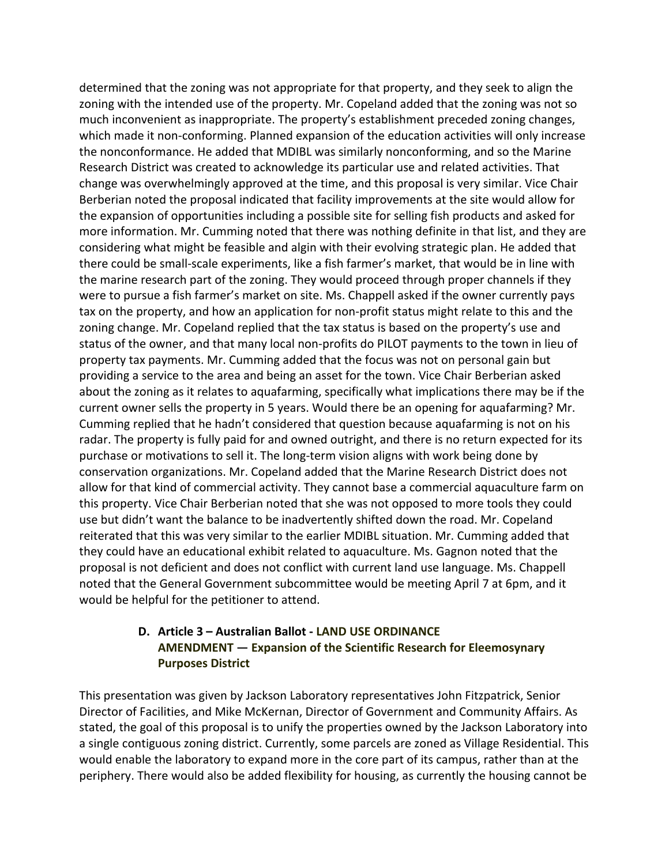determined that the zoning was not appropriate for that property, and they seek to align the zoning with the intended use of the property. Mr. Copeland added that the zoning was not so much inconvenient as inappropriate. The property's establishment preceded zoning changes, which made it non-conforming. Planned expansion of the education activities will only increase the nonconformance. He added that MDIBL was similarly nonconforming, and so the Marine Research District was created to acknowledge its particular use and related activities. That change was overwhelmingly approved at the time, and this proposal is very similar. Vice Chair Berberian noted the proposal indicated that facility improvements at the site would allow for the expansion of opportunities including a possible site for selling fish products and asked for more information. Mr. Cumming noted that there was nothing definite in that list, and they are considering what might be feasible and algin with their evolving strategic plan. He added that there could be small-scale experiments, like a fish farmer's market, that would be in line with the marine research part of the zoning. They would proceed through proper channels if they were to pursue a fish farmer's market on site. Ms. Chappell asked if the owner currently pays tax on the property, and how an application for non-profit status might relate to this and the zoning change. Mr. Copeland replied that the tax status is based on the property's use and status of the owner, and that many local non-profits do PILOT payments to the town in lieu of property tax payments. Mr. Cumming added that the focus was not on personal gain but providing a service to the area and being an asset for the town. Vice Chair Berberian asked about the zoning as it relates to aquafarming, specifically what implications there may be if the current owner sells the property in 5 years. Would there be an opening for aquafarming? Mr. Cumming replied that he hadn't considered that question because aquafarming is not on his radar. The property is fully paid for and owned outright, and there is no return expected for its purchase or motivations to sell it. The long-term vision aligns with work being done by conservation organizations. Mr. Copeland added that the Marine Research District does not allow for that kind of commercial activity. They cannot base a commercial aquaculture farm on this property. Vice Chair Berberian noted that she was not opposed to more tools they could use but didn't want the balance to be inadvertently shifted down the road. Mr. Copeland reiterated that this was very similar to the earlier MDIBL situation. Mr. Cumming added that they could have an educational exhibit related to aquaculture. Ms. Gagnon noted that the proposal is not deficient and does not conflict with current land use language. Ms. Chappell noted that the General Government subcommittee would be meeting April 7 at 6pm, and it would be helpful for the petitioner to attend.

### **D. Article 3 – Australian Ballot - LAND USE ORDINANCE AMENDMENT — Expansion of the Scientific Research for Eleemosynary Purposes District**

This presentation was given by Jackson Laboratory representatives John Fitzpatrick, Senior Director of Facilities, and Mike McKernan, Director of Government and Community Affairs. As stated, the goal of this proposal is to unify the properties owned by the Jackson Laboratory into a single contiguous zoning district. Currently, some parcels are zoned as Village Residential. This would enable the laboratory to expand more in the core part of its campus, rather than at the periphery. There would also be added flexibility for housing, as currently the housing cannot be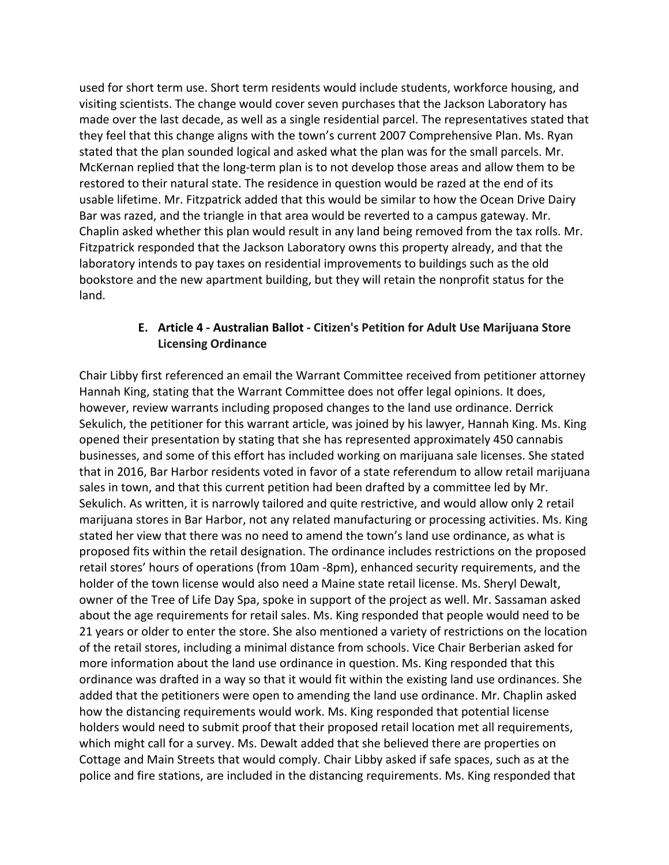used for short term use. Short term residents would include students, workforce housing, and visiting scientists. The change would cover seven purchases that the Jackson Laboratory has made over the last decade, as well as a single residential parcel. The representatives stated that they feel that this change aligns with the town's current 2007 Comprehensive Plan. Ms. Ryan stated that the plan sounded logical and asked what the plan was for the small parcels. Mr. McKernan replied that the long-term plan is to not develop those areas and allow them to be restored to their natural state. The residence in question would be razed at the end of its usable lifetime. Mr. Fitzpatrick added that this would be similar to how the Ocean Drive Dairy Bar was razed, and the triangle in that area would be reverted to a campus gateway. Mr. Chaplin asked whether this plan would result in any land being removed from the tax rolls. Mr. Fitzpatrick responded that the Jackson Laboratory owns this property already, and that the laboratory intends to pay taxes on residential improvements to buildings such as the old bookstore and the new apartment building, but they will retain the nonprofit status for the land.

#### **E. Article 4 - Australian Ballot - Citizen's Petition for Adult Use Marijuana Store Licensing Ordinance**

Chair Libby first referenced an email the Warrant Committee received from petitioner attorney Hannah King, stating that the Warrant Committee does not offer legal opinions. It does, however, review warrants including proposed changes to the land use ordinance. Derrick Sekulich, the petitioner for this warrant article, was joined by his lawyer, Hannah King. Ms. King opened their presentation by stating that she has represented approximately 450 cannabis businesses, and some of this effort has included working on marijuana sale licenses. She stated that in 2016, Bar Harbor residents voted in favor of a state referendum to allow retail marijuana sales in town, and that this current petition had been drafted by a committee led by Mr. Sekulich. As written, it is narrowly tailored and quite restrictive, and would allow only 2 retail marijuana stores in Bar Harbor, not any related manufacturing or processing activities. Ms. King stated her view that there was no need to amend the town's land use ordinance, as what is proposed fits within the retail designation. The ordinance includes restrictions on the proposed retail stores' hours of operations (from 10am -8pm), enhanced security requirements, and the holder of the town license would also need a Maine state retail license. Ms. Sheryl Dewalt, owner of the Tree of Life Day Spa, spoke in support of the project as well. Mr. Sassaman asked about the age requirements for retail sales. Ms. King responded that people would need to be 21 years or older to enter the store. She also mentioned a variety of restrictions on the location of the retail stores, including a minimal distance from schools. Vice Chair Berberian asked for more information about the land use ordinance in question. Ms. King responded that this ordinance was drafted in a way so that it would fit within the existing land use ordinances. She added that the petitioners were open to amending the land use ordinance. Mr. Chaplin asked how the distancing requirements would work. Ms. King responded that potential license holders would need to submit proof that their proposed retail location met all requirements, which might call for a survey. Ms. Dewalt added that she believed there are properties on Cottage and Main Streets that would comply. Chair Libby asked if safe spaces, such as at the police and fire stations, are included in the distancing requirements. Ms. King responded that